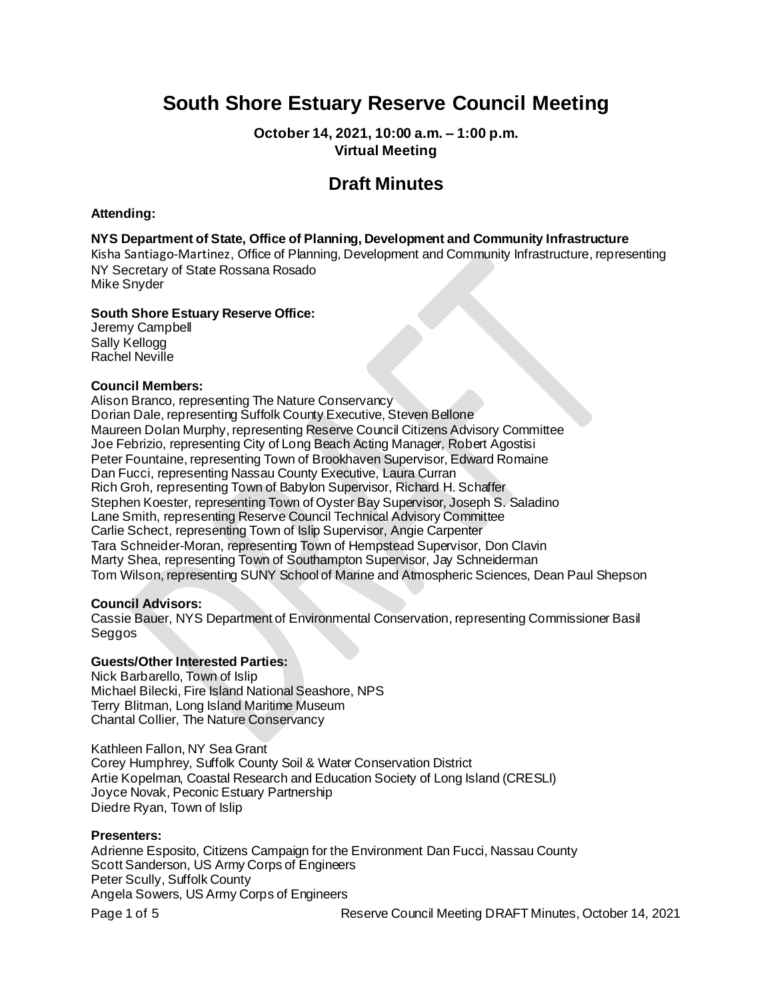# **South Shore Estuary Reserve Council Meeting**

**October 14, 2021, 10:00 a.m. – 1:00 p.m. Virtual Meeting**

## **Draft Minutes**

#### **Attending:**

#### **NYS Department of State, Office of Planning, Development and Community Infrastructure**

Kisha Santiago-Martinez, Office of Planning, Development and Community Infrastructure, representing NY Secretary of State Rossana Rosado Mike Snyder

#### **South Shore Estuary Reserve Office:**

Jeremy Campbell Sally Kellogg Rachel Neville

#### **Council Members:**

Alison Branco, representing The Nature Conservancy Dorian Dale, representing Suffolk County Executive, Steven Bellone Maureen Dolan Murphy, representing Reserve Council Citizens Advisory Committee Joe Febrizio, representing City of Long Beach Acting Manager, Robert Agostisi Peter Fountaine, representing Town of Brookhaven Supervisor, Edward Romaine Dan Fucci, representing Nassau County Executive, Laura Curran Rich Groh, representing Town of Babylon Supervisor, Richard H. Schaffer Stephen Koester, representing Town of Oyster Bay Supervisor, Joseph S. Saladino Lane Smith, representing Reserve Council Technical Advisory Committee Carlie Schect, representing Town of Islip Supervisor, Angie Carpenter Tara Schneider-Moran, representing Town of Hempstead Supervisor, Don Clavin Marty Shea, representing Town of Southampton Supervisor, Jay Schneiderman Tom Wilson, representing SUNY School of Marine and Atmospheric Sciences, Dean Paul Shepson

#### **Council Advisors:**

Cassie Bauer, NYS Department of Environmental Conservation, representing Commissioner Basil Seggos

#### **Guests/Other Interested Parties:**

Nick Barbarello, Town of Islip Michael Bilecki, Fire Island National Seashore, NPS Terry Blitman, Long Island Maritime Museum Chantal Collier, The Nature Conservancy

Kathleen Fallon, NY Sea Grant Corey Humphrey, Suffolk County Soil & Water Conservation District Artie Kopelman, Coastal Research and Education Society of Long Island (CRESLI) Joyce Novak, Peconic Estuary Partnership Diedre Ryan, Town of Islip

#### **Presenters:**

Adrienne Esposito, Citizens Campaign for the Environment Dan Fucci, Nassau County Scott Sanderson, US Army Corps of Engineers Peter Scully, Suffolk County Angela Sowers, US Army Corps of Engineers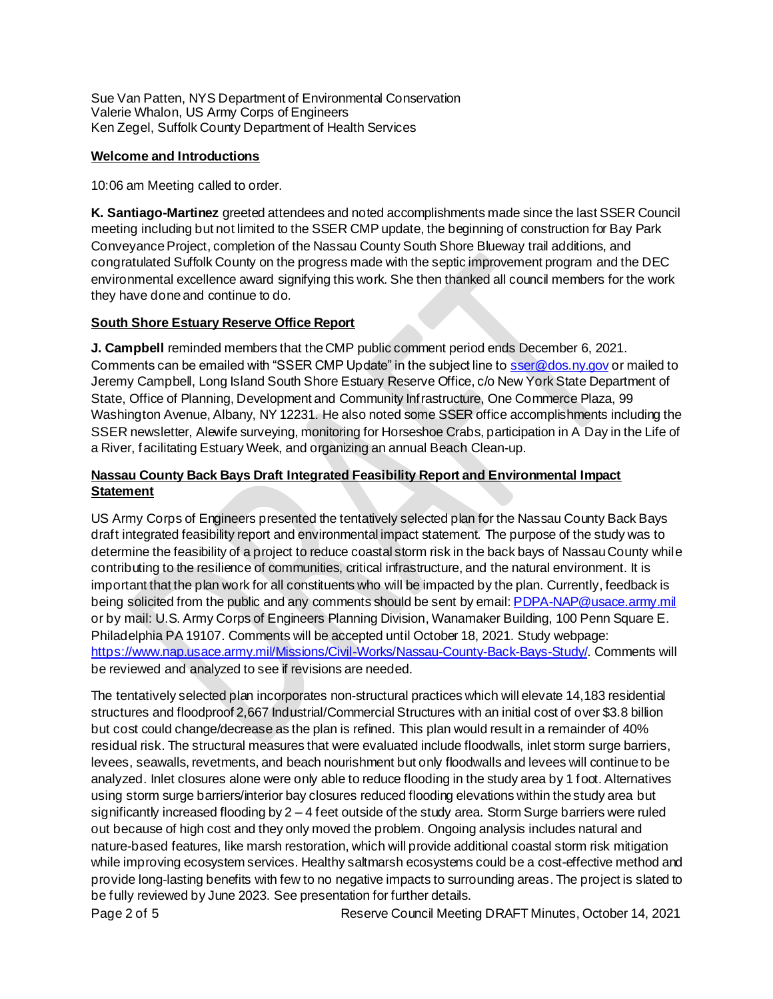Sue Van Patten, NYS Department of Environmental Conservation Valerie Whalon, US Army Corps of Engineers Ken Zegel, Suffolk County Department of Health Services

#### **Welcome and Introductions**

10:06 am Meeting called to order.

**K. Santiago-Martinez** greeted attendees and noted accomplishments made since the last SSER Council meeting including but not limited to the SSER CMP update, the beginning of construction for Bay Park Conveyance Project, completion of the Nassau County South Shore Blueway trail additions, and congratulated Suffolk County on the progress made with the septic improvement program and the DEC environmental excellence award signifying this work. She then thanked all council members for the work they have done and continue to do.

## **South Shore Estuary Reserve Office Report**

**J. Campbell** reminded members that the CMP public comment period ends December 6, 2021. Comments can be emailed with "SSER CMP Update" in the subject line t[o sser@dos.ny.gov](mailto:sser@dos.ny.gov) or mailed to Jeremy Campbell, Long Island South Shore Estuary Reserve Office, c/o New York State Department of State, Office of Planning, Development and Community Infrastructure, One Commerce Plaza, 99 Washington Avenue, Albany, NY 12231. He also noted some SSER office accomplishments including the SSER newsletter, Alewife surveying, monitoring for Horseshoe Crabs, participation in A Day in the Life of a River, facilitating Estuary Week, and organizing an annual Beach Clean-up.

## **Nassau County Back Bays Draft Integrated Feasibility Report and Environmental Impact Statement**

US Army Corps of Engineers presented the tentatively selected plan for the Nassau County Back Bays draft integrated feasibility report and environmental impact statement. The purpose of the study was to determine the feasibility of a project to reduce coastal storm risk in the back bays of Nassau County while contributing to the resilience of communities, critical infrastructure, and the natural environment. It is important that the plan work for all constituents who will be impacted by the plan. Currently, feedback is being solicited from the public and any comments should be sent by email[: PDPA-NAP@usace.army.mil](mailto:PDPA-NAP@usace.army.mil) or by mail: U.S. Army Corps of Engineers Planning Division, Wanamaker Building, 100 Penn Square E. Philadelphia PA 19107. Comments will be accepted until October 18, 2021. Study webpage: <https://www.nap.usace.army.mil/Missions/Civil-Works/Nassau-County-Back-Bays-Study/>. Comments will be reviewed and analyzed to see if revisions are needed.

The tentatively selected plan incorporates non-structural practices which will elevate 14,183 residential structures and floodproof 2,667 Industrial/Commercial Structures with an initial cost of over \$3.8 billion but cost could change/decrease as the plan is refined. This plan would result in a remainder of 40% residual risk. The structural measures that were evaluated include floodwalls, inlet storm surge barriers, levees, seawalls, revetments, and beach nourishment but only floodwalls and levees will continue to be analyzed. Inlet closures alone were only able to reduce flooding in the study area by 1 foot. Alternatives using storm surge barriers/interior bay closures reduced flooding elevations within the study area but significantly increased flooding by  $2 - 4$  feet outside of the study area. Storm Surge barriers were ruled out because of high cost and they only moved the problem. Ongoing analysis includes natural and nature-based features, like marsh restoration, which will provide additional coastal storm risk mitigation while improving ecosystem services. Healthy saltmarsh ecosystems could be a cost-effective method and provide long-lasting benefits with few to no negative impacts to surrounding areas. The project is slated to be fully reviewed by June 2023. See presentation for further details.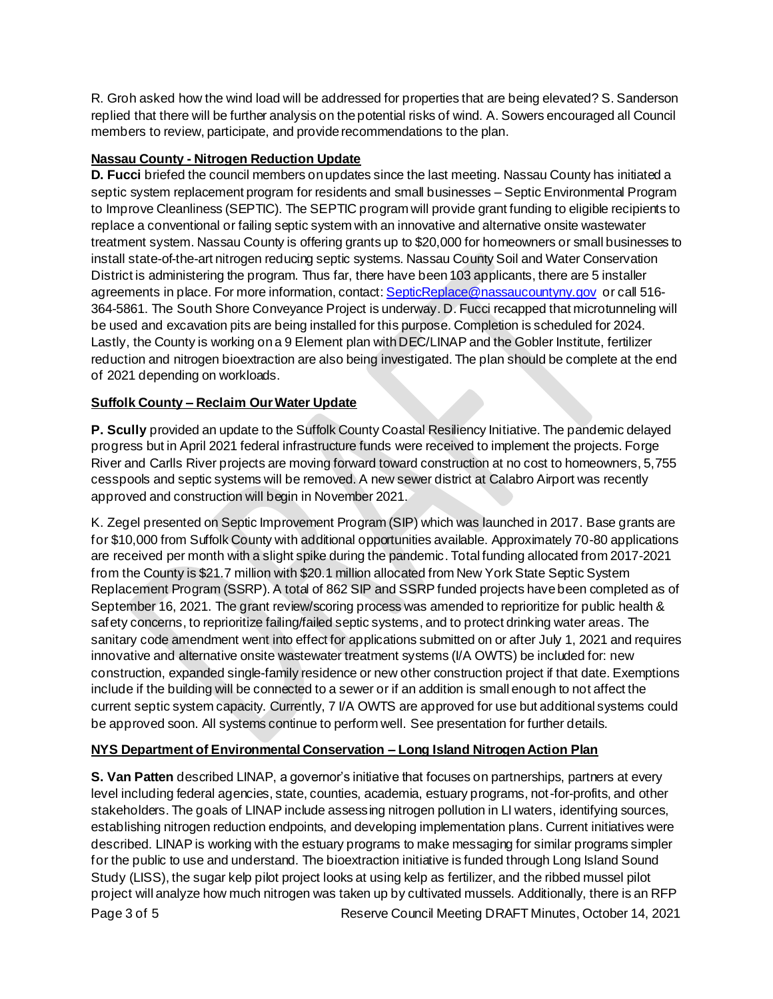R. Groh asked how the wind load will be addressed for properties that are being elevated? S. Sanderson replied that there will be further analysis on the potential risks of wind. A. Sowers encouraged all Council members to review, participate, and provide recommendations to the plan.

## **Nassau County - Nitrogen Reduction Update**

**D. Fucci** briefed the council members on updates since the last meeting. Nassau County has initiated a septic system replacement program for residents and small businesses – Septic Environmental Program to Improve Cleanliness (SEPTIC). The SEPTIC program will provide grant funding to eligible recipients to replace a conventional or failing septic system with an innovative and alternative onsite wastewater treatment system. Nassau County is offering grants up to \$20,000 for homeowners or small businesses to install state-of-the-art nitrogen reducing septic systems. Nassau County Soil and Water Conservation District is administering the program. Thus far, there have been 103 applicants, there are 5 installer agreements in place. For more information, contact: [SepticReplace@nassaucountyny.gov](mailto:SepticReplace@nassaucountyny.gov) or call 516-364-5861. The South Shore Conveyance Project is underway. D. Fucci recapped that microtunneling will be used and excavation pits are being installed for this purpose. Completion is scheduled for 2024. Lastly, the County is working on a 9 Element plan with DEC/LINAP and the Gobler Institute, fertilizer reduction and nitrogen bioextraction are also being investigated. The plan should be complete at the end of 2021 depending on workloads.

## **Suffolk County – Reclaim Our Water Update**

**P. Scully** provided an update to the Suffolk County Coastal Resiliency Initiative. The pandemic delayed progress but in April 2021 federal infrastructure funds were received to implement the projects. Forge River and Carlls River projects are moving forward toward construction at no cost to homeowners, 5,755 cesspools and septic systems will be removed. A new sewer district at Calabro Airport was recently approved and construction will begin in November 2021.

K. Zegel presented on Septic Improvement Program (SIP) which was launched in 2017. Base grants are for \$10,000 from Suffolk County with additional opportunities available. Approximately 70-80 applications are received per month with a slight spike during the pandemic. Total funding allocated from 2017-2021 from the County is \$21.7 million with \$20.1 million allocated from New York State Septic System Replacement Program (SSRP). A total of 862 SIP and SSRP funded projects have been completed as of September 16, 2021. The grant review/scoring process was amended to reprioritize for public health & safety concerns, to reprioritize failing/failed septic systems, and to protect drinking water areas. The sanitary code amendment went into effect for applications submitted on or after July 1, 2021 and requires innovative and alternative onsite wastewater treatment systems (I/A OWTS) be included for: new construction, expanded single-family residence or new other construction project if that date. Exemptions include if the building will be connected to a sewer or if an addition is small enough to not affect the current septic system capacity. Currently, 7 I/A OWTS are approved for use but additional systems could be approved soon. All systems continue to perform well. See presentation for further details.

## **NYS Department of Environmental Conservation – Long Island Nitrogen Action Plan**

**S. Van Patten** described LINAP, a governor's initiative that focuses on partnerships, partners at every level including federal agencies, state, counties, academia, estuary programs, not-for-profits, and other stakeholders. The goals of LINAP include assessing nitrogen pollution in LI waters, identifying sources, establishing nitrogen reduction endpoints, and developing implementation plans. Current initiatives were described. LINAP is working with the estuary programs to make messaging for similar programs simpler for the public to use and understand. The bioextraction initiative is funded through Long Island Sound Study (LISS), the sugar kelp pilot project looks at using kelp as fertilizer, and the ribbed mussel pilot project will analyze how much nitrogen was taken up by cultivated mussels. Additionally, there is an RFP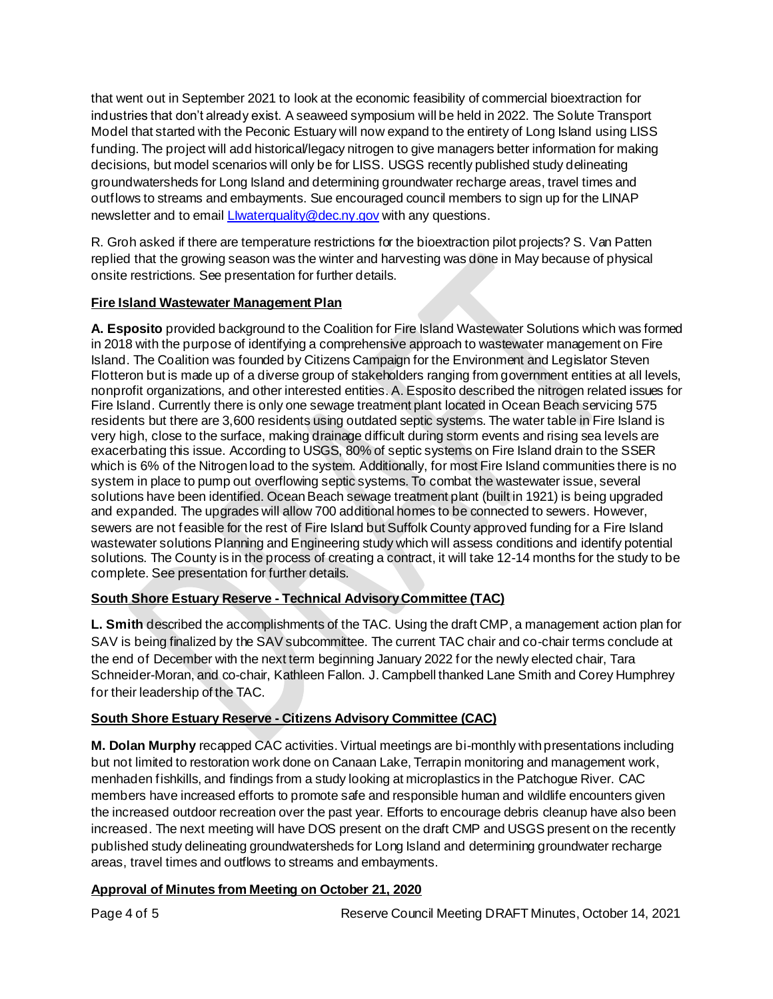that went out in September 2021 to look at the economic feasibility of commercial bioextraction for industries that don't already exist. A seaweed symposium will be held in 2022. The Solute Transport Model that started with the Peconic Estuary will now expand to the entirety of Long Island using LISS funding. The project will add historical/legacy nitrogen to give managers better information for making decisions, but model scenarios will only be for LISS. USGS recently published study delineating groundwatersheds for Long Island and determining groundwater recharge areas, travel times and outflows to streams and embayments. Sue encouraged council members to sign up for the LINAP newsletter and to email *LIwaterquality@dec.ny.gov* with any questions.

R. Groh asked if there are temperature restrictions for the bioextraction pilot projects? S. Van Patten replied that the growing season was the winter and harvesting was done in May because of physical onsite restrictions. See presentation for further details.

## **Fire Island Wastewater Management Plan**

**A. Esposito** provided background to the Coalition for Fire Island Wastewater Solutions which was formed in 2018 with the purpose of identifying a comprehensive approach to wastewater management on Fire Island. The Coalition was founded by Citizens Campaign for the Environment and Legislator Steven Flotteron but is made up of a diverse group of stakeholders ranging from government entities at all levels, nonprofit organizations, and other interested entities. A. Esposito described the nitrogen related issues for Fire Island. Currently there is only one sewage treatment plant located in Ocean Beach servicing 575 residents but there are 3,600 residents using outdated septic systems. The water table in Fire Island is very high, close to the surface, making drainage difficult during storm events and rising sea levels are exacerbating this issue. According to USGS, 80% of septic systems on Fire Island drain to the SSER which is 6% of the Nitrogen load to the system. Additionally, for most Fire Island communities there is no system in place to pump out overflowing septic systems. To combat the wastewater issue, several solutions have been identified. Ocean Beach sewage treatment plant (built in 1921) is being upgraded and expanded. The upgrades will allow 700 additional homes to be connected to sewers. However, sewers are not feasible for the rest of Fire Island but Suffolk County approved funding for a Fire Island wastewater solutions Planning and Engineering study which will assess conditions and identify potential solutions. The County is in the process of creating a contract, it will take 12-14 months for the study to be complete. See presentation for further details.

## **South Shore Estuary Reserve - Technical Advisory Committee (TAC)**

**L. Smith** described the accomplishments of the TAC. Using the draft CMP, a management action plan for SAV is being finalized by the SAV subcommittee. The current TAC chair and co-chair terms conclude at the end of December with the next term beginning January 2022 for the newly elected chair, Tara Schneider-Moran, and co-chair, Kathleen Fallon. J. Campbell thanked Lane Smith and Corey Humphrey for their leadership of the TAC.

## **South Shore Estuary Reserve - Citizens Advisory Committee (CAC)**

**M. Dolan Murphy** recapped CAC activities. Virtual meetings are bi-monthly with presentations including but not limited to restoration work done on Canaan Lake, Terrapin monitoring and management work, menhaden fishkills, and findings from a study looking at microplastics in the Patchogue River. CAC members have increased efforts to promote safe and responsible human and wildlife encounters given the increased outdoor recreation over the past year. Efforts to encourage debris cleanup have also been increased. The next meeting will have DOS present on the draft CMP and USGS present on the recently published study delineating groundwatersheds for Long Island and determining groundwater recharge areas, travel times and outflows to streams and embayments.

## **Approval of Minutes from Meeting on October 21, 2020**